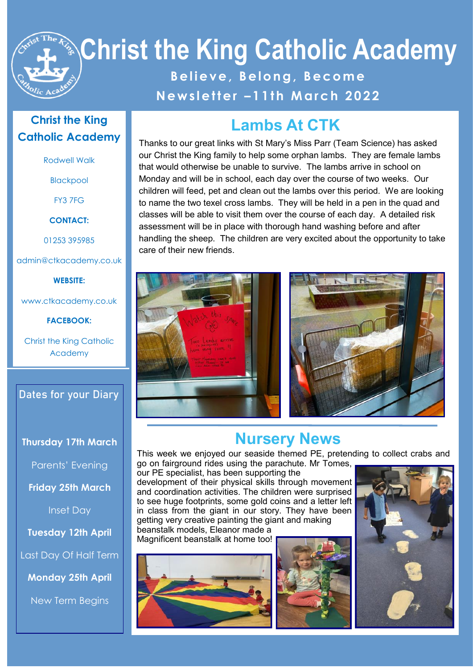# **Christ the King Catholic Academy B e l i e v e , B e l o n g , B e c o m e N e w s l e t t e r – 1 1 t h M a r c h 2 0 2 2**

#### **Christ the King Catholic Academy**

Rodwell Walk

Blackpool

FY3 7FG

**CONTACT:**

01253 395985

admin@ctkacademy.co.uk

**WEBSITE:**

www.ctkacademy.co.uk

**FACEBOOK:**

Christ the King Catholic Academy

**Dates for your Diary**

#### **Thursday 17th March**

Parents' Evening

**Friday 25th March**

Inset Day

**Tuesday 12th April**

Last Day Of Half Term

**Monday 25th April**

New Term Begins

# **Lambs At CTK**

Thanks to our great links with St Mary's Miss Parr (Team Science) has asked our Christ the King family to help some orphan lambs. They are female lambs that would otherwise be unable to survive. The lambs arrive in school on Monday and will be in school, each day over the course of two weeks. Our children will feed, pet and clean out the lambs over this period. We are looking to name the two texel cross lambs. They will be held in a pen in the quad and classes will be able to visit them over the course of each day. A detailed risk assessment will be in place with thorough hand washing before and after handling the sheep. The children are very excited about the opportunity to take care of their new friends.





# **Nursery News**

This week we enjoyed our seaside themed PE, pretending to collect crabs and go on fairground rides using the parachute. Mr Tomes,

our PE specialist, has been supporting the development of their physical skills through movement and coordination activities. The children were surprised to see huge footprints, some gold coins and a letter left in class from the giant in our story. They have been getting very creative painting the giant and making

beanstalk models, Eleanor made a Magnificent beanstalk at home too!





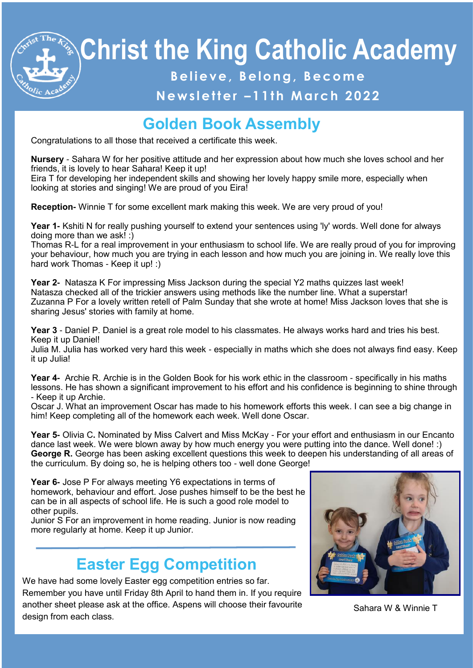# **Christ the King Catholic Academy**

### **B e l i e v e , B e l o n g , B e c o m e**

#### **N e w s l e t t e r – 1 1 t h M a r c h 2 0 2 2**

# **Golden Book Assembly**

Congratulations to all those that received a certificate this week.

**Nursery** - Sahara W for her positive attitude and her expression about how much she loves school and her friends, it is lovely to hear Sahara! Keep it up!

Eira T for developing her independent skills and showing her lovely happy smile more, especially when looking at stories and singing! We are proud of you Eira!

**Reception-** Winnie T for some excellent mark making this week. We are very proud of you!

**Year 1-** Kshiti N for really pushing yourself to extend your sentences using 'ly' words. Well done for always doing more than we ask! :)

Thomas R-L for a real improvement in your enthusiasm to school life. We are really proud of you for improving your behaviour, how much you are trying in each lesson and how much you are joining in. We really love this hard work Thomas - Keep it up! :)

**Year 2-** Natasza K For impressing Miss Jackson during the special Y2 maths quizzes last week! Natasza checked all of the trickier answers using methods like the number line. What a superstar! Zuzanna P For a lovely written retell of Palm Sunday that she wrote at home! Miss Jackson loves that she is sharing Jesus' stories with family at home.

**Year 3** - Daniel P. Daniel is a great role model to his classmates. He always works hard and tries his best. Keep it up Daniel!

Julia M. Julia has worked very hard this week - especially in maths which she does not always find easy. Keep it up Julia!

**Year 4-** Archie R. Archie is in the Golden Book for his work ethic in the classroom - specifically in his maths lessons. He has shown a significant improvement to his effort and his confidence is beginning to shine through - Keep it up Archie.

Oscar J. What an improvement Oscar has made to his homework efforts this week. I can see a big change in him! Keep completing all of the homework each week. Well done Oscar.

**Year 5-** Olivia C**.** Nominated by Miss Calvert and Miss McKay - For your effort and enthusiasm in our Encanto dance last week. We were blown away by how much energy you were putting into the dance. Well done! :) **George R.** George has been asking excellent questions this week to deepen his understanding of all areas of the curriculum. By doing so, he is helping others too - well done George!

**Year 6-** Jose P For always meeting Y6 expectations in terms of homework, behaviour and effort. Jose pushes himself to be the best he can be in all aspects of school life. He is such a good role model to other pupils.

Junior S For an improvement in home reading. Junior is now reading more regularly at home. Keep it up Junior.

## **Easter Egg Competition**

We have had some lovely Easter egg competition entries so far. Remember you have until Friday 8th April to hand them in. If you require another sheet please ask at the office. Aspens will choose their favourite design from each class.



Sahara W & Winnie T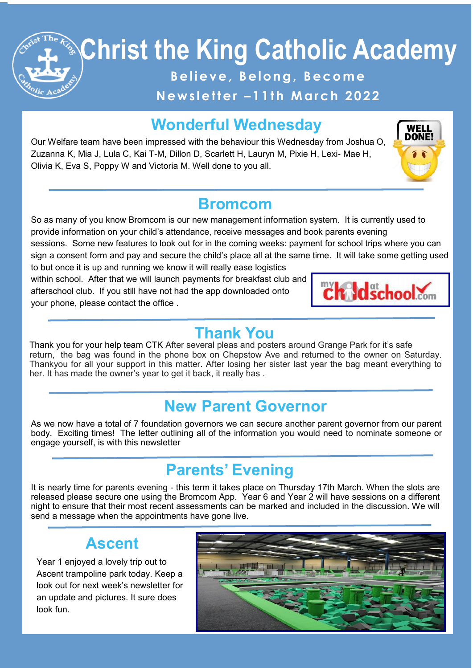# **Christ the King Catholic Academy**

Believe, Belong, Become

**N e w s l e t t e r – 1 1 t h M a r c h 2 0 2 2**

# **Wonderful Wednesday**

Our Welfare team have been impressed with the behaviour this Wednesday from Joshua O, Zuzanna K, Mia J, Lula C, Kai T-M, Dillon D, Scarlett H, Lauryn M, Pixie H, Lexi- Mae H, Olivia K, Eva S, Poppy W and Victoria M. Well done to you all.



### **Bromcom**

So as many of you know Bromcom is our new management information system. It is currently used to provide information on your child's attendance, receive messages and book parents evening sessions. Some new features to look out for in the coming weeks: payment for school trips where you can

sign a consent form and pay and secure the child's place all at the same time. It will take some getting used to but once it is up and running we know it will really ease logistics

within school. After that we will launch payments for breakfast club and afterschool club. If you still have not had the app downloaded onto your phone, please contact the office .



### **Thank You**

Thank you for your help team CTK After several pleas and posters around Grange Park for it's safe return, the bag was found in the phone box on Chepstow Ave and returned to the owner on Saturday. Thankyou for all your support in this matter. After losing her sister last year the bag meant everything to her. It has made the owner's year to get it back, it really has .

# **New Parent Governor**

**Blackpool Evening Gazette School Photo**

As we now have a total of 7 foundation governors we can secure another parent governor from our parent body. Exciting times! The letter outlining all of the information you would need to nominate someone or engage yourself, is with this newsletter

# **Parents' Evening**

It is nearly time for parents evening - this term it takes place on Thursday 17th March. When the slots are released please secure one using the Bromcom App. Year 6 and Year 2 will have sessions on a different night to ensure that their most recent assessments can be marked and included in the discussion. We will send a message when the appointments have gone live.

## **Ascent**

Year 1 enjoyed a lovely trip out to Ascent trampoline park today. Keep a look out for next week's newsletter for an update and pictures. It sure does look fun.